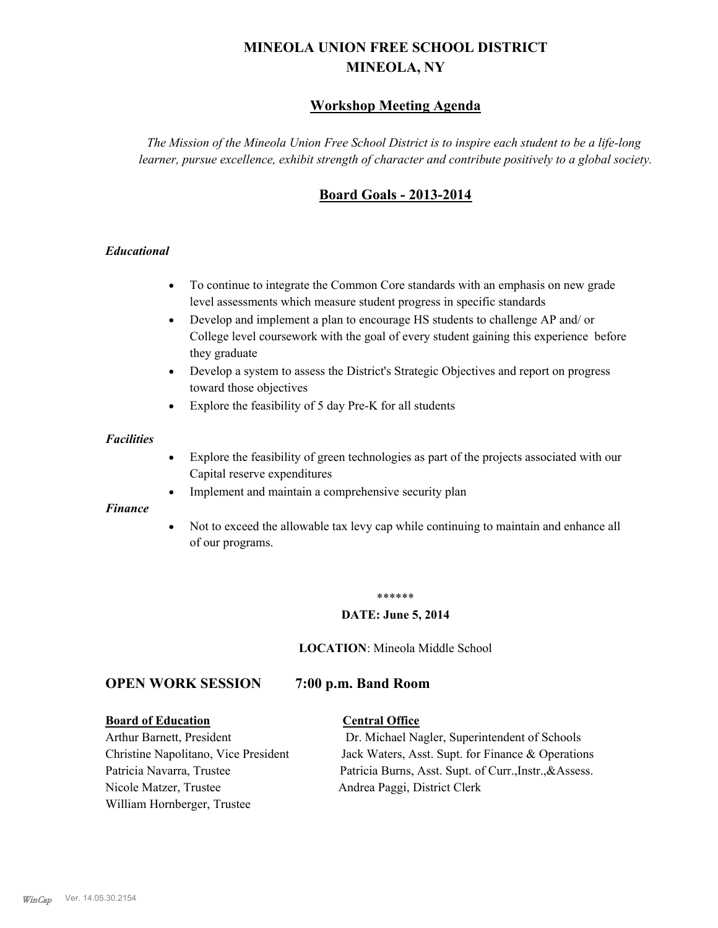# **MINEOLA UNION FREE SCHOOL DISTRICT MINEOLA, NY**

## **Workshop Meeting Agenda**

*The Mission of the Mineola Union Free School District is to inspire each student to be a life-long learner, pursue excellence, exhibit strength of character and contribute positively to a global society.*

## **Board Goals - 2013-2014**

### *Educational*

- · To continue to integrate the Common Core standards with an emphasis on new grade level assessments which measure student progress in specific standards
- · Develop and implement a plan to encourage HS students to challenge AP and/ or College level coursework with the goal of every student gaining this experience before they graduate
- Develop a system to assess the District's Strategic Objectives and report on progress toward those objectives
- · Explore the feasibility of 5 day Pre-K for all students

#### *Facilities*

- · Explore the feasibility of green technologies as part of the projects associated with our Capital reserve expenditures
- Implement and maintain a comprehensive security plan

#### *Finance*

• Not to exceed the allowable tax levy cap while continuing to maintain and enhance all of our programs.

#### \*\*\*\*\*\*

#### **DATE: June 5, 2014**

**LOCATION**: Mineola Middle School

## **OPEN WORK SESSION 7:00 p.m. Band Room**

#### **Board of Education Central Office**

Nicole Matzer, Trustee Andrea Paggi, District Clerk William Hornberger, Trustee

Arthur Barnett, President Dr. Michael Nagler, Superintendent of Schools Christine Napolitano, Vice President Jack Waters, Asst. Supt. for Finance & Operations Patricia Navarra, Trustee Patricia Burns, Asst. Supt. of Curr., Instr., &Assess.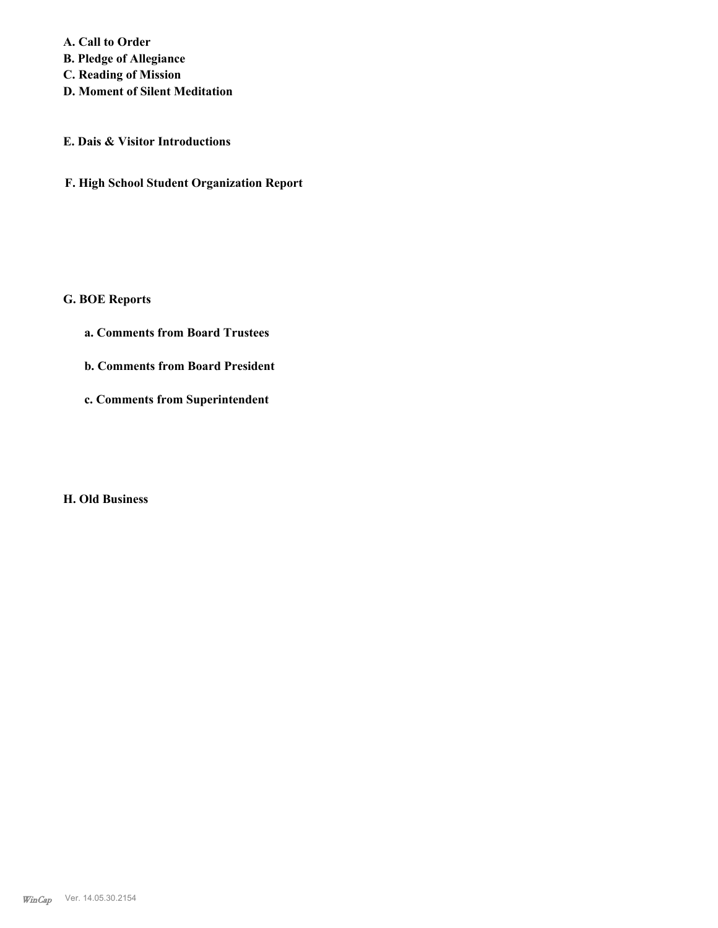**A. Call to Order B. Pledge of Allegiance C. Reading of Mission**

**D. Moment of Silent Meditation**

## **E. Dais & Visitor Introductions**

**F. High School Student Organization Report**

## **G. BOE Reports**

- **a. Comments from Board Trustees**
- **b. Comments from Board President**
- **c. Comments from Superintendent**

## **H. Old Business**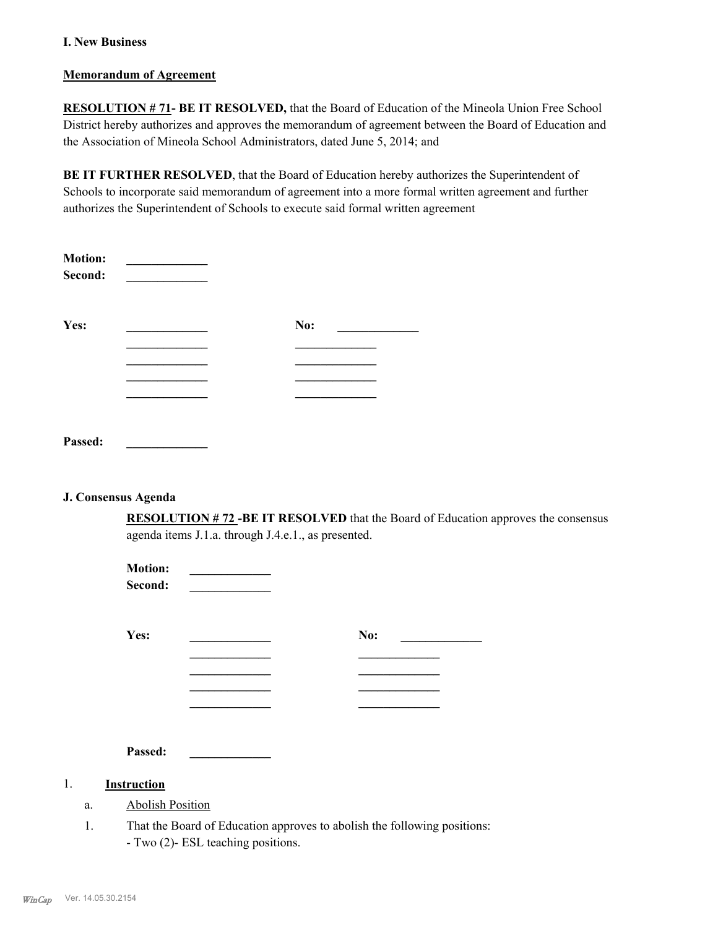### **I. New Business**

#### **Memorandum of Agreement**

**RESOLUTION # 71- BE IT RESOLVED,** that the Board of Education of the Mineola Union Free School District hereby authorizes and approves the memorandum of agreement between the Board of Education and the Association of Mineola School Administrators, dated June 5, 2014; and

**BE IT FURTHER RESOLVED**, that the Board of Education hereby authorizes the Superintendent of Schools to incorporate said memorandum of agreement into a more formal written agreement and further authorizes the Superintendent of Schools to execute said formal written agreement

| <b>Motion:</b><br>Second: |     |
|---------------------------|-----|
| Yes:                      | No: |
|                           |     |
|                           |     |
|                           |     |
|                           |     |
| Passed:                   |     |

#### **J. Consensus Agenda**

**RESOLUTION # 72 -BE IT RESOLVED** that the Board of Education approves the consensus agenda items J.1.a. through J.4.e.1., as presented.

| <b>Motion:</b><br>Second: |     |
|---------------------------|-----|
| Yes:                      | No: |
|                           |     |
|                           |     |
|                           |     |
|                           |     |
| Passed:                   |     |

#### 1. **Instruction**

- a. Abolish Position
- That the Board of Education approves to abolish the following positions: - Two (2)- ESL teaching positions. 1.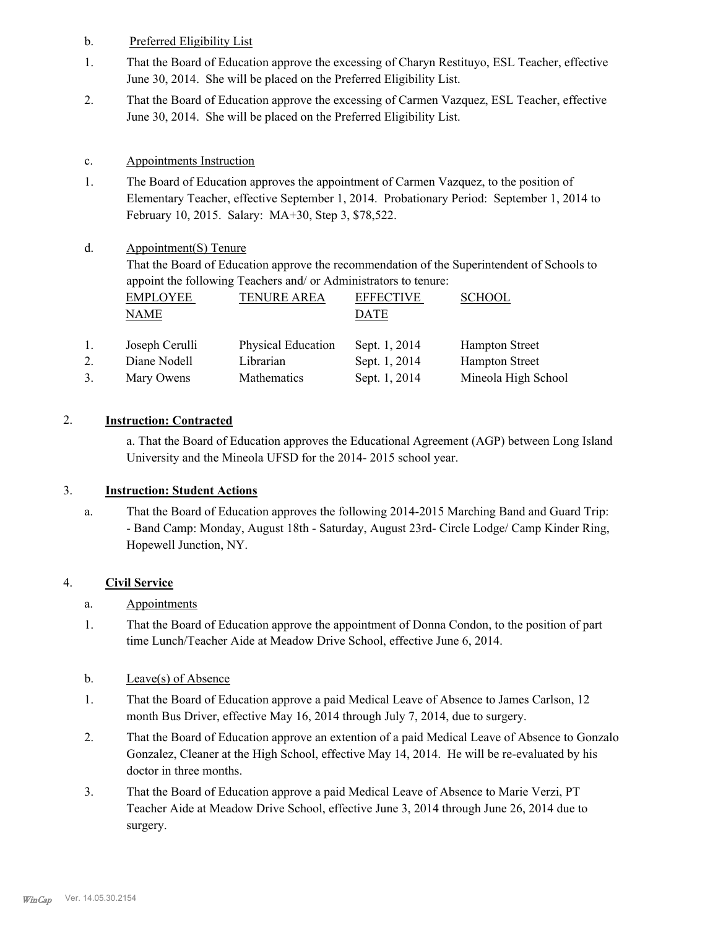- b. Preferred Eligibility List
- That the Board of Education approve the excessing of Charyn Restituyo, ESL Teacher, effective June 30, 2014. She will be placed on the Preferred Eligibility List. 1.
- That the Board of Education approve the excessing of Carmen Vazquez, ESL Teacher, effective June 30, 2014. She will be placed on the Preferred Eligibility List. 2.

## c. Appointments Instruction

The Board of Education approves the appointment of Carmen Vazquez, to the position of Elementary Teacher, effective September 1, 2014. Probationary Period: September 1, 2014 to February 10, 2015. Salary: MA+30, Step 3, \$78,522. 1.

#### Appointment(S) Tenure d.

That the Board of Education approve the recommendation of the Superintendent of Schools to appoint the following Teachers and/ or Administrators to tenure:

|    | <b>EMPLOYEE</b><br>NAME | <b>TENURE AREA</b>        | <b>EFFECTIVE</b><br>DATE | <b>SCHOOL</b>         |
|----|-------------------------|---------------------------|--------------------------|-----------------------|
| 1. | Joseph Cerulli          | <b>Physical Education</b> | Sept. 1, 2014            | <b>Hampton Street</b> |
| 2. | Diane Nodell            | Librarian                 | Sept. 1, 2014            | <b>Hampton Street</b> |
|    | Mary Owens              | Mathematics               | Sept. 1, 2014            | Mineola High School   |

## 2. **Instruction: Contracted**

a. That the Board of Education approves the Educational Agreement (AGP) between Long Island University and the Mineola UFSD for the 2014- 2015 school year.

## 3. **Instruction: Student Actions**

That the Board of Education approves the following 2014-2015 Marching Band and Guard Trip: - Band Camp: Monday, August 18th - Saturday, August 23rd- Circle Lodge/ Camp Kinder Ring, Hopewell Junction, NY. a.

## 4. **Civil Service**

## a. Appointments

That the Board of Education approve the appointment of Donna Condon, to the position of part time Lunch/Teacher Aide at Meadow Drive School, effective June 6, 2014. 1.

### b. Leave(s) of Absence

- That the Board of Education approve a paid Medical Leave of Absence to James Carlson, 12 month Bus Driver, effective May 16, 2014 through July 7, 2014, due to surgery. 1.
- That the Board of Education approve an extention of a paid Medical Leave of Absence to Gonzalo Gonzalez, Cleaner at the High School, effective May 14, 2014. He will be re-evaluated by his doctor in three months. 2.
- That the Board of Education approve a paid Medical Leave of Absence to Marie Verzi, PT Teacher Aide at Meadow Drive School, effective June 3, 2014 through June 26, 2014 due to surgery. 3.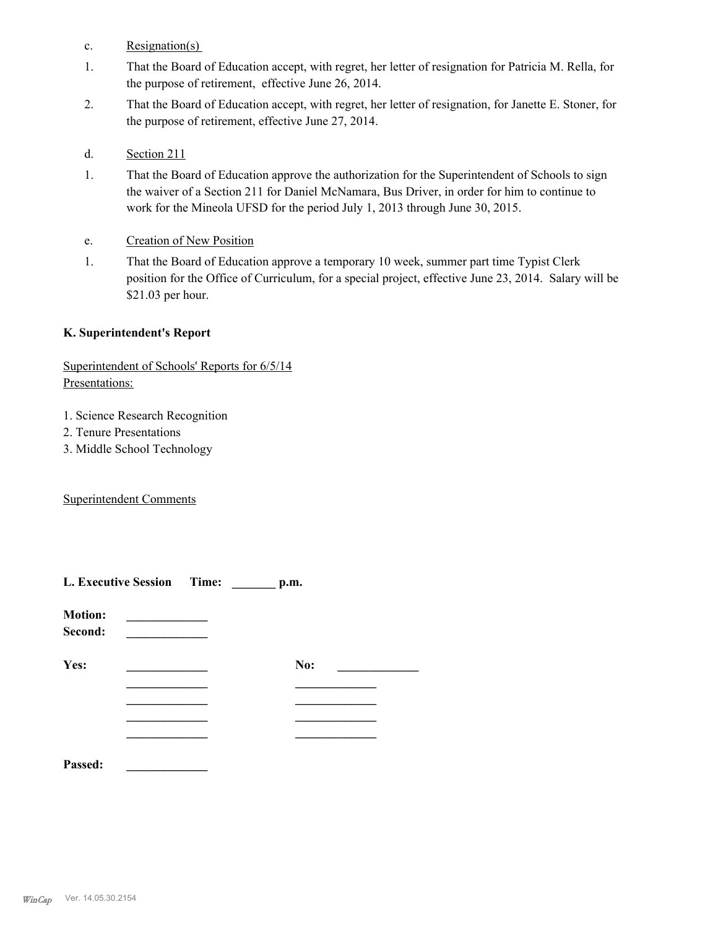- c. Resignation(s)
- That the Board of Education accept, with regret, her letter of resignation for Patricia M. Rella, for the purpose of retirement, effective June 26, 2014. 1.
- That the Board of Education accept, with regret, her letter of resignation, for Janette E. Stoner, for the purpose of retirement, effective June 27, 2014. 2.
- d. Section 211
- That the Board of Education approve the authorization for the Superintendent of Schools to sign the waiver of a Section 211 for Daniel McNamara, Bus Driver, in order for him to continue to work for the Mineola UFSD for the period July 1, 2013 through June 30, 2015. 1.
- e. Creation of New Position
- That the Board of Education approve a temporary 10 week, summer part time Typist Clerk position for the Office of Curriculum, for a special project, effective June 23, 2014. Salary will be \$21.03 per hour. 1.

### **K. Superintendent's Report**

## Superintendent of Schools' Reports for 6/5/14 Presentations:

- 1. Science Research Recognition
- 2. Tenure Presentations
- 3. Middle School Technology

## Superintendent Comments

| L. Executive Session Time: |  | p.m. |  |  |
|----------------------------|--|------|--|--|
| <b>Motion:</b><br>Second:  |  |      |  |  |
| Yes:                       |  | No:  |  |  |
|                            |  |      |  |  |
|                            |  |      |  |  |
|                            |  |      |  |  |
| Passed:                    |  |      |  |  |